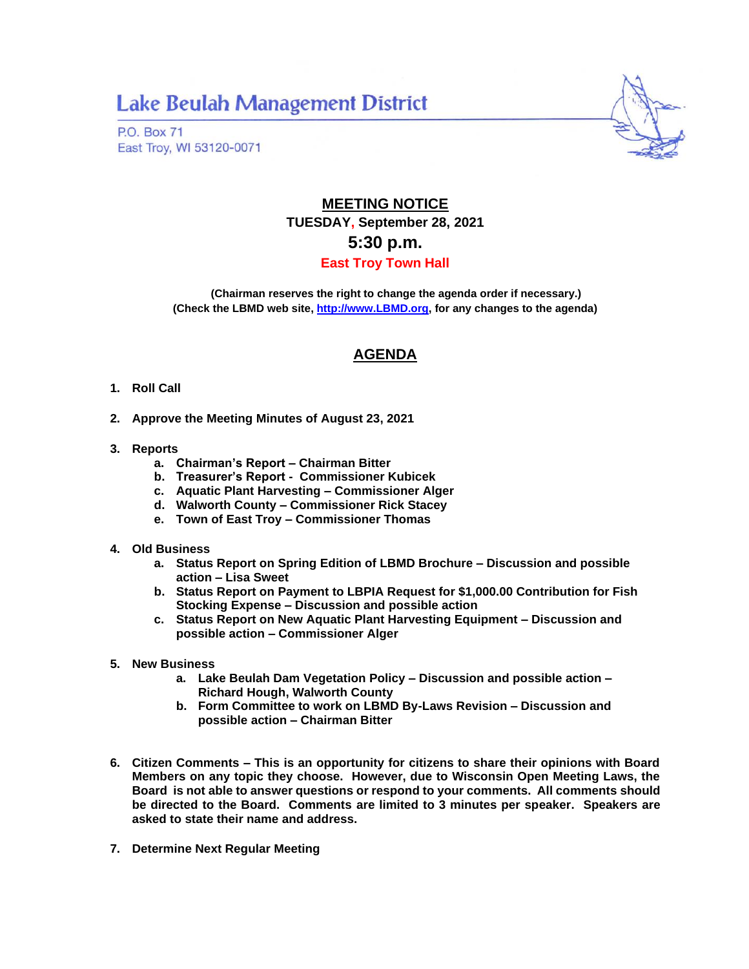## **Lake Beulah Management District**

**P.O. Box 71** East Troy, WI 53120-0071



## **MEETING NOTICE TUESDAY, September 28, 2021 5:30 p.m.**

## **East Troy Town Hall**

**(Chairman reserves the right to change the agenda order if necessary.) (Check the LBMD web site, [http://www.LBMD.org,](http://www.lbmd.org/) for any changes to the agenda)**

## **AGENDA**

- **1. Roll Call**
- **2. Approve the Meeting Minutes of August 23, 2021**
- **3. Reports**
	- **a. Chairman's Report – Chairman Bitter**
	- **b. Treasurer's Report - Commissioner Kubicek**
	- **c. Aquatic Plant Harvesting – Commissioner Alger**
	- **d. Walworth County – Commissioner Rick Stacey**
	- **e. Town of East Troy – Commissioner Thomas**
- **4. Old Business** 
	- **a. Status Report on Spring Edition of LBMD Brochure – Discussion and possible action – Lisa Sweet**
	- **b. Status Report on Payment to LBPIA Request for \$1,000.00 Contribution for Fish Stocking Expense – Discussion and possible action**
	- **c. Status Report on New Aquatic Plant Harvesting Equipment – Discussion and possible action – Commissioner Alger**
- **5. New Business**
	- **a. Lake Beulah Dam Vegetation Policy – Discussion and possible action – Richard Hough, Walworth County**
	- **b. Form Committee to work on LBMD By-Laws Revision – Discussion and possible action – Chairman Bitter**
- **6. Citizen Comments – This is an opportunity for citizens to share their opinions with Board Members on any topic they choose. However, due to Wisconsin Open Meeting Laws, the Board is not able to answer questions or respond to your comments. All comments should be directed to the Board. Comments are limited to 3 minutes per speaker. Speakers are asked to state their name and address.**
- **7. Determine Next Regular Meeting**